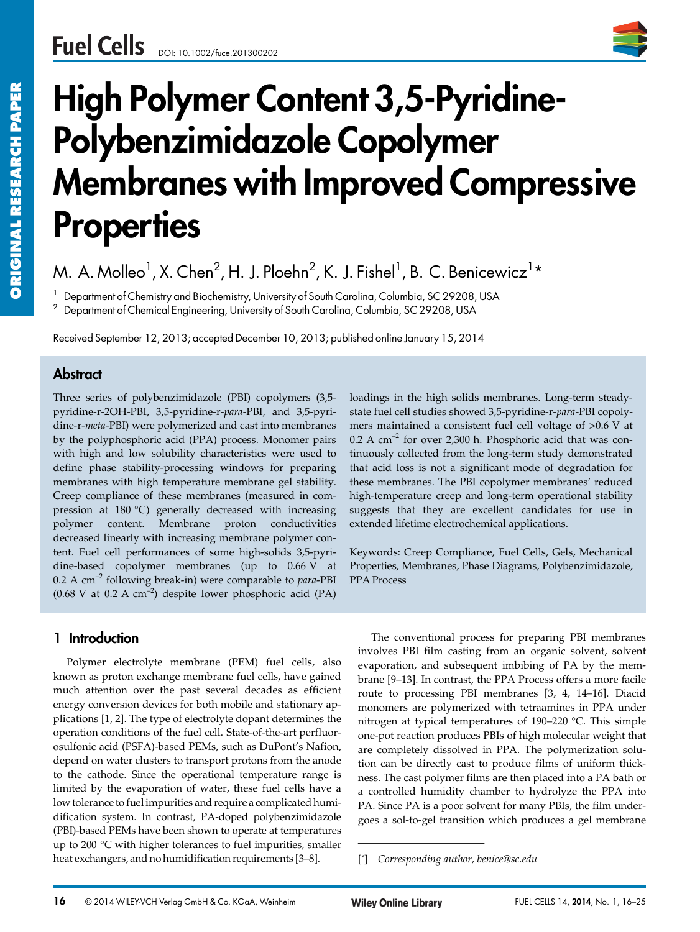

# **High Polymer Content 3,5-Pyridine-Polybenzimidazole Copolymer Membranes with Improved Compressive Properties**

M. A. Molleo $^1$ , X. Chen $^2$ , H. J. Ploehn $^2$ , K. J. Fishel $^1$ , B. C. Benicewicz $^1\star$ 

<sup>1</sup> Department of Chemistry and Biochemistry, University of South Carolina, Columbia, SC 29208, USA

<sup>2</sup> Department of Chemical Engineering, University of South Carolina, Columbia, SC 29208, USA

Received September 12, 2013; accepted December 10, 2013; published online January 15, 2014

# **Abstract**

Three series of polybenzimidazole (PBI) copolymers (3,5 pyridine-r-2OH-PBI, 3,5-pyridine-r-*para*-PBI, and 3,5-pyridine-r-*meta*-PBI) were polymerized and cast into membranes by the polyphosphoric acid (PPA) process. Monomer pairs with high and low solubility characteristics were used to define phase stability-processing windows for preparing membranes with high temperature membrane gel stability. Creep compliance of these membranes (measured in compression at 180 °C) generally decreased with increasing polymer content. Membrane proton conductivities decreased linearly with increasing membrane polymer content. Fuel cell performances of some high-solids 3,5-pyridine-based copolymer membranes (up to 0.66 V at 0.2 A cm–2 following break-in) were comparable to *para*-PBI  $(0.68 \text{ V at } 0.2 \text{ A cm}^{-2})$  despite lower phosphoric acid (PA)

## **1 Introduction**

Polymer electrolyte membrane (PEM) fuel cells, also known as proton exchange membrane fuel cells, have gained much attention over the past several decades as efficient energy conversion devices for both mobile and stationary applications [1, 2]. The type of electrolyte dopant determines the operation conditions of the fuel cell. State-of-the-art perfluorosulfonic acid (PSFA)-based PEMs, such as DuPont's Nafion, depend on water clusters to transport protons from the anode to the cathode. Since the operational temperature range is limited by the evaporation of water, these fuel cells have a low tolerance to fuel impurities and require a complicated humidification system. In contrast, PA-doped polybenzimidazole (PBI)-based PEMs have been shown to operate at temperatures up to 200 °C with higher tolerances to fuel impurities, smaller heat exchangers, and no humidification requirements [3–8].

loadings in the high solids membranes. Long-term steadystate fuel cell studies showed 3,5-pyridine-r-*para*-PBI copolymers maintained a consistent fuel cell voltage of >0.6 V at  $0.2$  A cm<sup>-2</sup> for over 2,300 h. Phosphoric acid that was continuously collected from the long-term study demonstrated that acid loss is not a significant mode of degradation for these membranes. The PBI copolymer membranes' reduced high-temperature creep and long-term operational stability suggests that they are excellent candidates for use in extended lifetime electrochemical applications.

Keywords: Creep Compliance, Fuel Cells, Gels, Mechanical Properties, Membranes, Phase Diagrams, Polybenzimidazole, PPA Process

The conventional process for preparing PBI membranes involves PBI film casting from an organic solvent, solvent evaporation, and subsequent imbibing of PA by the membrane [9–13]. In contrast, the PPA Process offers a more facile route to processing PBI membranes [3, 4, 14–16]. Diacid monomers are polymerized with tetraamines in PPA under nitrogen at typical temperatures of 190–220 °C. This simple one-pot reaction produces PBIs of high molecular weight that are completely dissolved in PPA. The polymerization solution can be directly cast to produce films of uniform thickness. The cast polymer films are then placed into a PA bath or a controlled humidity chamber to hydrolyze the PPA into PA. Since PA is a poor solvent for many PBIs, the film undergoes a sol-to-gel transition which produces a gel membrane evaporation, and subseque<br>brane [9–13]. In contrast, th<br>route to processing PBI<br>monomers are polymerize<br>nitrogen at typical temper<br>one-pot reaction produces<br>are completely dissolved<br>tion can be directly cast to<br>ness. The c

<sup>[\*]</sup> *Corresponding author, benice@sc.edu*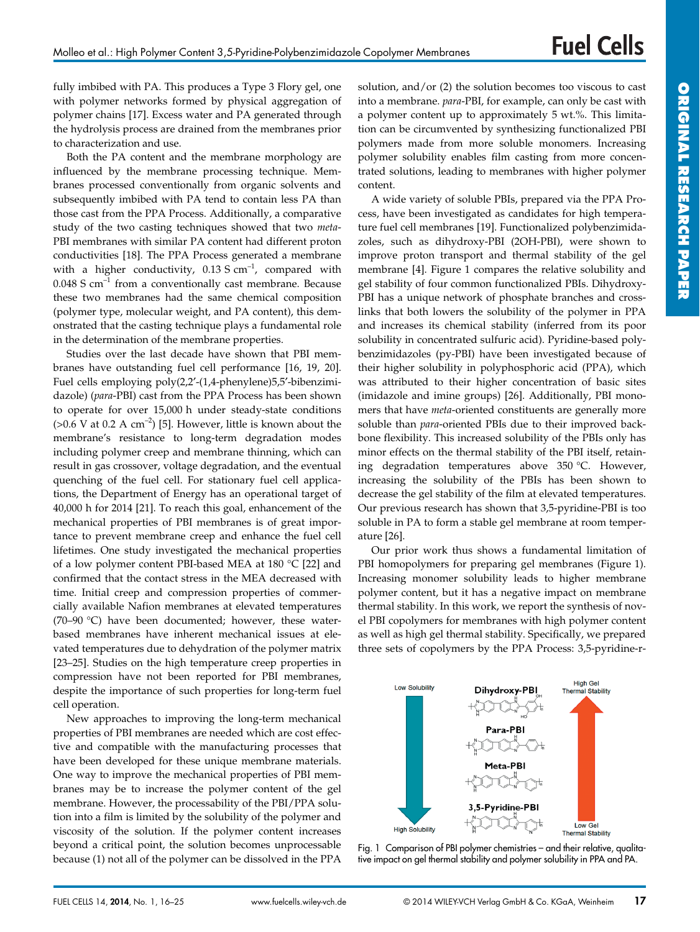fully imbibed with PA. This produces a Type 3 Flory gel, one with polymer networks formed by physical aggregation of polymer chains [17]. Excess water and PA generated through the hydrolysis process are drained from the membranes prior to characterization and use.

Both the PA content and the membrane morphology are influenced by the membrane processing technique. Membranes processed conventionally from organic solvents and subsequently imbibed with PA tend to contain less PA than those cast from the PPA Process. Additionally, a comparative study of the two casting techniques showed that two *meta*-PBI membranes with similar PA content had different proton conductivities [18]. The PPA Process generated a membrane with a higher conductivity,  $0.13 S \text{ cm}^{-1}$ , compared with  $0.048$  S cm<sup>-1</sup> from a conventionally cast membrane. Because these two membranes had the same chemical composition (polymer type, molecular weight, and PA content), this demonstrated that the casting technique plays a fundamental role in the determination of the membrane properties.

Studies over the last decade have shown that PBI membranes have outstanding fuel cell performance [16, 19, 20]. Fuel cells employing poly(2,2′-(1,4-phenylene)5,5′-bibenzimidazole) (*para*-PBI) cast from the PPA Process has been shown to operate for over 15,000 h under steady-state conditions ( $>0.6$  V at 0.2 A cm<sup>-2</sup>) [5]. However, little is known about the membrane's resistance to long-term degradation modes including polymer creep and membrane thinning, which can result in gas crossover, voltage degradation, and the eventual quenching of the fuel cell. For stationary fuel cell applications, the Department of Energy has an operational target of 40,000 h for 2014 [21]. To reach this goal, enhancement of the mechanical properties of PBI membranes is of great importance to prevent membrane creep and enhance the fuel cell lifetimes. One study investigated the mechanical properties of a low polymer content PBI-based MEA at 180 °C [22] and confirmed that the contact stress in the MEA decreased with time. Initial creep and compression properties of commercially available Nafion membranes at elevated temperatures (70–90 °C) have been documented; however, these waterbased membranes have inherent mechanical issues at elevated temperatures due to dehydration of the polymer matrix [23–25]. Studies on the high temperature creep properties in compression have not been reported for PBI membranes, despite the importance of such properties for long-term fuel cell operation.

New approaches to improving the long-term mechanical properties of PBI membranes are needed which are cost effective and compatible with the manufacturing processes that have been developed for these unique membrane materials. One way to improve the mechanical properties of PBI membranes may be to increase the polymer content of the gel membrane. However, the processability of the PBI/PPA solution into a film is limited by the solubility of the polymer and viscosity of the solution. If the polymer content increases beyond a critical point, the solution becomes unprocessable because (1) not all of the polymer can be dissolved in the PPA solution, and/or (2) the solution becomes too viscous to cast into a membrane. *para*-PBI, for example, can only be cast with a polymer content up to approximately 5 wt.%. This limitation can be circumvented by synthesizing functionalized PBI polymers made from more soluble monomers. Increasing polymer solubility enables film casting from more concentrated solutions, leading to membranes with higher polymer content.

A wide variety of soluble PBIs, prepared via the PPA Process, have been investigated as candidates for high temperature fuel cell membranes [19]. Functionalized polybenzimidazoles, such as dihydroxy-PBI (2OH-PBI), were shown to improve proton transport and thermal stability of the gel membrane [4]. Figure 1 compares the relative solubility and gel stability of four common functionalized PBIs. Dihydroxy-PBI has a unique network of phosphate branches and crosslinks that both lowers the solubility of the polymer in PPA and increases its chemical stability (inferred from its poor solubility in concentrated sulfuric acid). Pyridine-based polybenzimidazoles (py-PBI) have been investigated because of their higher solubility in polyphosphoric acid (PPA), which was attributed to their higher concentration of basic sites (imidazole and imine groups) [26]. Additionally, PBI monomers that have *meta*-oriented constituents are generally more soluble than *para*-oriented PBIs due to their improved backbone flexibility. This increased solubility of the PBIs only has minor effects on the thermal stability of the PBI itself, retaining degradation temperatures above 350 °C. However, increasing the solubility of the PBIs has been shown to decrease the gel stability of the film at elevated temperatures. Our previous research has shown that 3,5-pyridine-PBI is too soluble in PA to form a stable gel membrane at room temperature [26].

Our prior work thus shows a fundamental limitation of PBI homopolymers for preparing gel membranes (Figure 1). Increasing monomer solubility leads to higher membrane polymer content, but it has a negative impact on membrane thermal stability. In this work, we report the synthesis of novel PBI copolymers for membranes with high polymer content as well as high gel thermal stability. Specifically, we prepared three sets of copolymers by the PPA Process: 3,5-pyridine-r-



Fig. 1 Comparison of PBI polymer chemistries – and their relative, qualitative impact on gel thermal stability and polymer solubility in PPA and PA.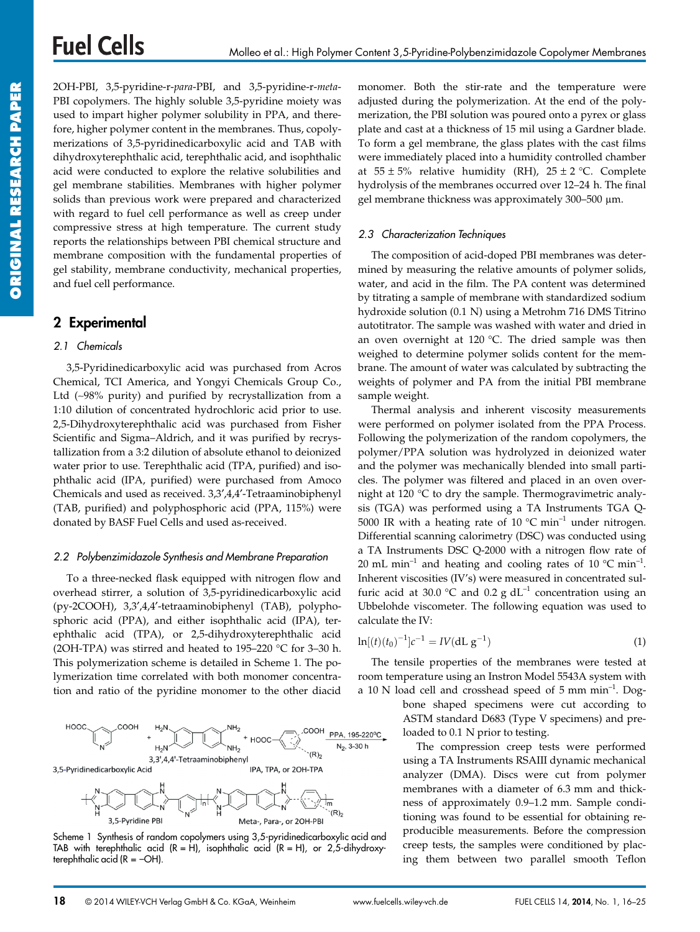2OH-PBI, 3,5-pyridine-r-*para*-PBI, and 3,5-pyridine-r-*meta*-PBI copolymers. The highly soluble 3,5-pyridine moiety was used to impart higher polymer solubility in PPA, and therefore, higher polymer content in the membranes. Thus, copolymerizations of 3,5-pyridinedicarboxylic acid and TAB with dihydroxyterephthalic acid, terephthalic acid, and isophthalic acid were conducted to explore the relative solubilities and gel membrane stabilities. Membranes with higher polymer solids than previous work were prepared and characterized with regard to fuel cell performance as well as creep under compressive stress at high temperature. The current study reports the relationships between PBI chemical structure and membrane composition with the fundamental properties of gel stability, membrane conductivity, mechanical properties, and fuel cell performance.

## **2 Experimental**

#### *2.1 Chemicals*

3,5-Pyridinedicarboxylic acid was purchased from Acros Chemical, TCI America, and Yongyi Chemicals Group Co., Ltd (∼98% purity) and purified by recrystallization from a 1:10 dilution of concentrated hydrochloric acid prior to use. 2,5-Dihydroxyterephthalic acid was purchased from Fisher Scientific and Sigma–Aldrich, and it was purified by recrystallization from a 3:2 dilution of absolute ethanol to deionized water prior to use. Terephthalic acid (TPA, purified) and isophthalic acid (IPA, purified) were purchased from Amoco Chemicals and used as received. 3,3′,4,4′-Tetraaminobiphenyl (TAB, purified) and polyphosphoric acid (PPA, 115%) were donated by BASF Fuel Cells and used as-received.

#### *2.2 Polybenzimidazole Synthesis and Membrane Preparation*

To a three-necked flask equipped with nitrogen flow and overhead stirrer, a solution of 3,5-pyridinedicarboxylic acid (py-2COOH), 3,3′,4,4′-tetraaminobiphenyl (TAB), polyphosphoric acid (PPA), and either isophthalic acid (IPA), terephthalic acid (TPA), or 2,5-dihydroxyterephthalic acid (2OH-TPA) was stirred and heated to 195–220  $^{\circ}$ C for 3–30 h. This polymerization scheme is detailed in Scheme 1. The polymerization time correlated with both monomer concentration and ratio of the pyridine monomer to the other diacid



Scheme 1 Synthesis of random copolymers using 3,5-pyridinedicarboxylic acid and TAB with terephthalic acid  $(R = H)$ , isophthalic acid  $(R = H)$ , or 2,5-dihydroxyterephthalic acid ( $R = -OH$ ).

monomer. Both the stir-rate and the temperature were adjusted during the polymerization. At the end of the polymerization, the PBI solution was poured onto a pyrex or glass plate and cast at a thickness of 15 mil using a Gardner blade. To form a gel membrane, the glass plates with the cast films were immediately placed into a humidity controlled chamber at  $55 \pm 5$ % relative humidity (RH),  $25 \pm 2$  °C. Complete hydrolysis of the membranes occurred over 12–24 h. The final gel membrane thickness was approximately  $300-500$   $\mu$ m.

#### *2.3 Characterization Techniques*

The composition of acid-doped PBI membranes was determined by measuring the relative amounts of polymer solids, water, and acid in the film. The PA content was determined by titrating a sample of membrane with standardized sodium hydroxide solution (0.1 N) using a Metrohm 716 DMS Titrino autotitrator. The sample was washed with water and dried in an oven overnight at 120 °C. The dried sample was then weighed to determine polymer solids content for the membrane. The amount of water was calculated by subtracting the weights of polymer and PA from the initial PBI membrane sample weight.

Thermal analysis and inherent viscosity measurements were performed on polymer isolated from the PPA Process. Following the polymerization of the random copolymers, the polymer/PPA solution was hydrolyzed in deionized water and the polymer was mechanically blended into small particles. The polymer was filtered and placed in an oven overnight at 120 °C to dry the sample. Thermogravimetric analysis (TGA) was performed using a TA Instruments TGA Q-5000 IR with a heating rate of 10  $^{\circ}$ C min<sup>-1</sup> under nitrogen. Differential scanning calorimetry (DSC) was conducted using a TA Instruments DSC Q-2000 with a nitrogen flow rate of 20 mL min<sup>-1</sup> and heating and cooling rates of 10  $^{\circ}$ C min<sup>-1</sup>. Inherent viscosities (IV's) were measured in concentrated sulfuric acid at 30.0 °C and 0.2 g  $dL^{-1}$  concentration using an Ubbelohde viscometer. The following equation was used to calculate the IV:

$$
\ln[(t)(t_0)^{-1}]c^{-1} = IV(dL g^{-1})
$$
\n(1)

The tensile properties of the membranes were tested at room temperature using an Instron Model 5543A system with a 10 N load cell and crosshead speed of  $5 \text{ mm min}^{-1}$ . Dog-

bone shaped specimens were cut according to ASTM standard D683 (Type V specimens) and preloaded to 0.1 N prior to testing.

The compression creep tests were performed using a TA Instruments RSAIII dynamic mechanical analyzer (DMA). Discs were cut from polymer membranes with a diameter of 6.3 mm and thickness of approximately 0.9–1.2 mm. Sample conditioning was found to be essential for obtaining reproducible measurements. Before the compression creep tests, the samples were conditioned by placing them between two parallel smooth Teflon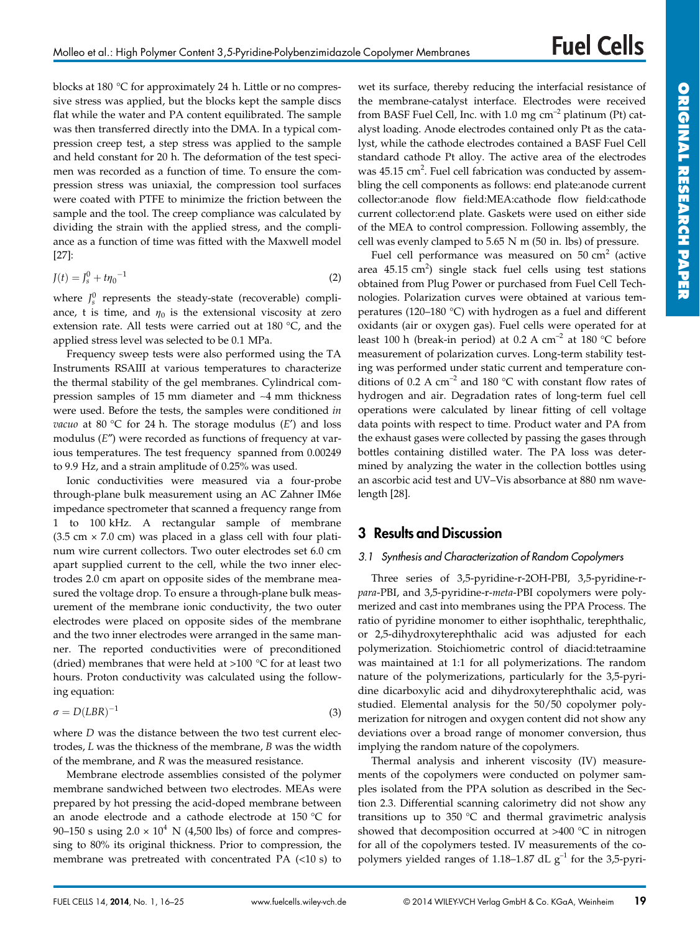blocks at 180 °C for approximately 24 h. Little or no compressive stress was applied, but the blocks kept the sample discs flat while the water and PA content equilibrated. The sample was then transferred directly into the DMA. In a typical compression creep test, a step stress was applied to the sample and held constant for 20 h. The deformation of the test specimen was recorded as a function of time. To ensure the compression stress was uniaxial, the compression tool surfaces were coated with PTFE to minimize the friction between the sample and the tool. The creep compliance was calculated by dividing the strain with the applied stress, and the compliance as a function of time was fitted with the Maxwell model [27]:

$$
J(t) = J_s^0 + t\eta_0^{-1}
$$
 (2)

where  $J_s^0$  represents the steady-state (recoverable) compliance, t is time, and  $\eta_0$  is the extensional viscosity at zero extension rate. All tests were carried out at 180 °C, and the applied stress level was selected to be 0.1 MPa.

Frequency sweep tests were also performed using the TA Instruments RSAIII at various temperatures to characterize the thermal stability of the gel membranes. Cylindrical compression samples of 15 mm diameter and ∼4 mm thickness were used. Before the tests, the samples were conditioned *in vacuo* at 80 °C for 24 h. The storage modulus (*E*′) and loss modulus (*E*″) were recorded as functions of frequency at various temperatures. The test frequency spanned from 0.00249 to 9.9 Hz, and a strain amplitude of 0.25% was used.

Ionic conductivities were measured via a four-probe through-plane bulk measurement using an AC Zahner IM6e impedance spectrometer that scanned a frequency range from 1 to 100 kHz. A rectangular sample of membrane  $(3.5 \text{ cm} \times 7.0 \text{ cm})$  was placed in a glass cell with four platinum wire current collectors. Two outer electrodes set 6.0 cm apart supplied current to the cell, while the two inner electrodes 2.0 cm apart on opposite sides of the membrane measured the voltage drop. To ensure a through-plane bulk measurement of the membrane ionic conductivity, the two outer electrodes were placed on opposite sides of the membrane and the two inner electrodes were arranged in the same manner. The reported conductivities were of preconditioned (dried) membranes that were held at  $>100$  °C for at least two hours. Proton conductivity was calculated using the following equation:

$$
\sigma = D(LBR)^{-1} \tag{3}
$$

where *D* was the distance between the two test current electrodes, *L* was the thickness of the membrane, *B* was the width of the membrane, and *R* was the measured resistance.

Membrane electrode assemblies consisted of the polymer membrane sandwiched between two electrodes. MEAs were prepared by hot pressing the acid-doped membrane between an anode electrode and a cathode electrode at 150 °C for 90–150 s using  $2.0 \times 10^4$  N (4,500 lbs) of force and compressing to 80% its original thickness. Prior to compression, the membrane was pretreated with concentrated PA (<10 s) to wet its surface, thereby reducing the interfacial resistance of the membrane-catalyst interface. Electrodes were received from BASF Fuel Cell, Inc. with 1.0 mg  $cm^{-2}$  platinum (Pt) catalyst loading. Anode electrodes contained only Pt as the catalyst, while the cathode electrodes contained a BASF Fuel Cell standard cathode Pt alloy. The active area of the electrodes was  $45.15 \text{ cm}^2$ . Fuel cell fabrication was conducted by assembling the cell components as follows: end plate:anode current collector:anode flow field:MEA:cathode flow field:cathode current collector:end plate. Gaskets were used on either side of the MEA to control compression. Following assembly, the cell was evenly clamped to 5.65 N m (50 in. lbs) of pressure.

Fuel cell performance was measured on  $50 \text{ cm}^2$  (active area  $45.15 \text{ cm}^2$ ) single stack fuel cells using test stations obtained from Plug Power or purchased from Fuel Cell Technologies. Polarization curves were obtained at various temperatures (120–180 °C) with hydrogen as a fuel and different oxidants (air or oxygen gas). Fuel cells were operated for at least 100 h (break-in period) at 0.2 A  $cm^{-2}$  at 180 °C before measurement of polarization curves. Long-term stability testing was performed under static current and temperature conditions of 0.2 A  $cm^{-2}$  and 180 °C with constant flow rates of hydrogen and air. Degradation rates of long-term fuel cell operations were calculated by linear fitting of cell voltage data points with respect to time. Product water and PA from the exhaust gases were collected by passing the gases through bottles containing distilled water. The PA loss was determined by analyzing the water in the collection bottles using an ascorbic acid test and UV–Vis absorbance at 880 nm wavelength [28].

# **3 Results and Discussion**

#### *3.1 Synthesis and Characterization of Random Copolymers*

Three series of 3,5-pyridine-r-2OH-PBI, 3,5-pyridine-r*para*-PBI, and 3,5-pyridine-r-*meta*-PBI copolymers were polymerized and cast into membranes using the PPA Process. The ratio of pyridine monomer to either isophthalic, terephthalic, or 2,5-dihydroxyterephthalic acid was adjusted for each polymerization. Stoichiometric control of diacid:tetraamine was maintained at 1:1 for all polymerizations. The random nature of the polymerizations, particularly for the 3,5-pyridine dicarboxylic acid and dihydroxyterephthalic acid, was studied. Elemental analysis for the 50/50 copolymer polymerization for nitrogen and oxygen content did not show any deviations over a broad range of monomer conversion, thus implying the random nature of the copolymers.

Thermal analysis and inherent viscosity (IV) measurements of the copolymers were conducted on polymer samples isolated from the PPA solution as described in the Section 2.3. Differential scanning calorimetry did not show any transitions up to 350 °C and thermal gravimetric analysis showed that decomposition occurred at >400 °C in nitrogen for all of the copolymers tested. IV measurements of the copolymers yielded ranges of 1.18–1.87 dL  $g^{-1}$  for the 3,5-pyri-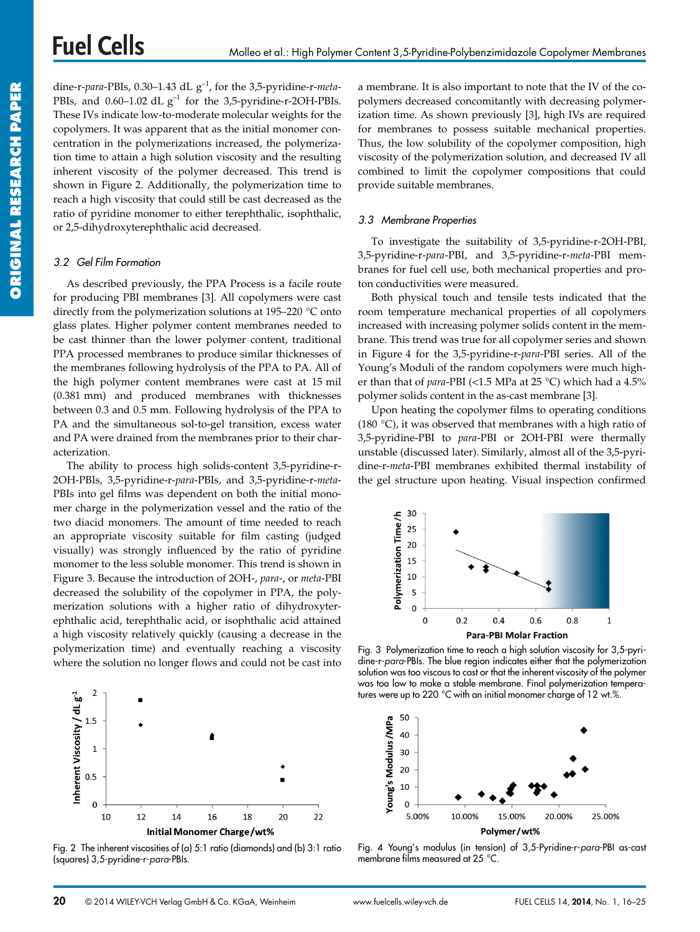dine-r-*para*-PBIs, 0.30–1.43 dL g–1, for the 3,5-pyridine-r-*meta*-PBIs, and 0.60–1.02 dL  $g^{-1}$  for the 3,5-pyridine-r-2OH-PBIs. These IVs indicate low-to-moderate molecular weights for the copolymers. It was apparent that as the initial monomer concentration in the polymerizations increased, the polymerization time to attain a high solution viscosity and the resulting inherent viscosity of the polymer decreased. This trend is shown in Figure 2. Additionally, the polymerization time to reach a high viscosity that could still be cast decreased as the ratio of pyridine monomer to either terephthalic, isophthalic, or 2,5-dihydroxyterephthalic acid decreased.

#### *3.2 Gel Film Formation*

As described previously, the PPA Process is a facile route for producing PBI membranes [3]. All copolymers were cast directly from the polymerization solutions at 195–220 °C onto glass plates. Higher polymer content membranes needed to be cast thinner than the lower polymer content, traditional PPA processed membranes to produce similar thicknesses of the membranes following hydrolysis of the PPA to PA. All of the high polymer content membranes were cast at 15 mil (0.381 mm) and produced membranes with thicknesses between 0.3 and 0.5 mm. Following hydrolysis of the PPA to PA and the simultaneous sol-to-gel transition, excess water and PA were drained from the membranes prior to their characterization.

The ability to process high solids-content 3,5-pyridine-r-2OH-PBIs, 3,5-pyridine-r-*para*-PBIs, and 3,5-pyridine-r-*meta*-PBIs into gel films was dependent on both the initial monomer charge in the polymerization vessel and the ratio of the two diacid monomers. The amount of time needed to reach an appropriate viscosity suitable for film casting (judged visually) was strongly influenced by the ratio of pyridine monomer to the less soluble monomer. This trend is shown in Figure 3. Because the introduction of 2OH-, *para*-, or *meta*-PBI decreased the solubility of the copolymer in PPA, the polymerization solutions with a higher ratio of dihydroxyterephthalic acid, terephthalic acid, or isophthalic acid attained a high viscosity relatively quickly (causing a decrease in the polymerization time) and eventually reaching a viscosity where the solution no longer flows and could not be cast into



Fig. 2 The inherent viscosities of (a) 5:1 ratio (diamonds) and (b) 3:1 ratio (squares) 3,5-pyridine-r-*para*-PBIs.

a membrane. It is also important to note that the IV of the copolymers decreased concomitantly with decreasing polymerization time. As shown previously [3], high IVs are required for membranes to possess suitable mechanical properties. Thus, the low solubility of the copolymer composition, high viscosity of the polymerization solution, and decreased IV all combined to limit the copolymer compositions that could provide suitable membranes.

#### *3.3 Membrane Properties*

To investigate the suitability of 3,5-pyridine-r-2OH-PBI, 3,5-pyridine-r-*para*-PBI, and 3,5-pyridine-r-*meta*-PBI membranes for fuel cell use, both mechanical properties and proton conductivities were measured.

Both physical touch and tensile tests indicated that the room temperature mechanical properties of all copolymers increased with increasing polymer solids content in the membrane. This trend was true for all copolymer series and shown in Figure 4 for the 3,5-pyridine-r-*para*-PBI series. All of the Young's Moduli of the random copolymers were much higher than that of *para*-PBI (<1.5 MPa at 25 °C) which had a 4.5% polymer solids content in the as-cast membrane [3].

Upon heating the copolymer films to operating conditions (180 °C), it was observed that membranes with a high ratio of 3,5-pyridine-PBI to *para*-PBI or 2OH-PBI were thermally unstable (discussed later). Similarly, almost all of the 3,5-pyridine-r-*meta*-PBI membranes exhibited thermal instability of the gel structure upon heating. Visual inspection confirmed



Fig. 3 Polymerization time to reach a high solution viscosity for 3,5-pyridine-r-*para*-PBIs. The blue region indicates either that the polymerization solution was too viscous to cast or that the inherent viscosity of the polymer was too low to make a stable membrane. Final polymerization temperatures were up to 220 °C with an initial monomer charge of 12 wt.%.



Fig. 4 Young's modulus (in tension) of 3,5-Pyridine-r-*para*-PBI as-cast membrane films measured at 25 °C.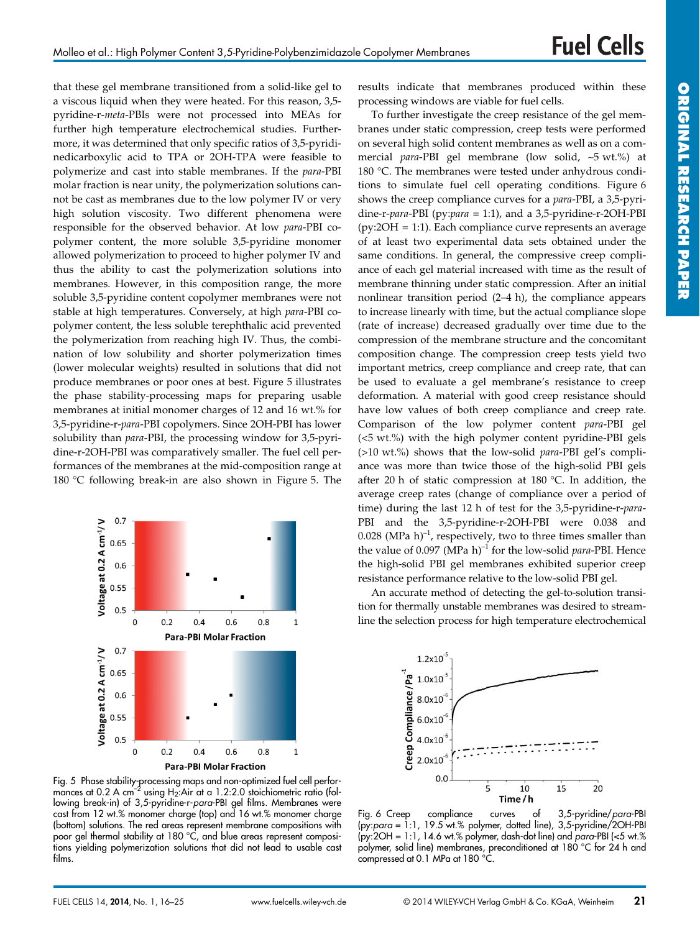that these gel membrane transitioned from a solid-like gel to a viscous liquid when they were heated. For this reason, 3,5 pyridine-r-*meta*-PBIs were not processed into MEAs for further high temperature electrochemical studies. Furthermore, it was determined that only specific ratios of 3,5-pyridinedicarboxylic acid to TPA or 2OH-TPA were feasible to polymerize and cast into stable membranes. If the *para*-PBI molar fraction is near unity, the polymerization solutions cannot be cast as membranes due to the low polymer IV or very high solution viscosity. Two different phenomena were responsible for the observed behavior. At low *para*-PBI copolymer content, the more soluble 3,5-pyridine monomer allowed polymerization to proceed to higher polymer IV and thus the ability to cast the polymerization solutions into membranes. However, in this composition range, the more soluble 3,5-pyridine content copolymer membranes were not stable at high temperatures. Conversely, at high *para*-PBI copolymer content, the less soluble terephthalic acid prevented the polymerization from reaching high IV. Thus, the combination of low solubility and shorter polymerization times (lower molecular weights) resulted in solutions that did not produce membranes or poor ones at best. Figure 5 illustrates the phase stability-processing maps for preparing usable membranes at initial monomer charges of 12 and 16 wt.% for 3,5-pyridine-r-*para*-PBI copolymers. Since 2OH-PBI has lower solubility than *para*-PBI, the processing window for 3,5-pyridine-r-2OH-PBI was comparatively smaller. The fuel cell performances of the membranes at the mid-composition range at 180 °C following break-in are also shown in Figure 5. The



Fig. 5 Phase stability-processing maps and non-optimized fuel cell performances at 0.2 A cm<sup>-2</sup> using H<sub>2</sub>:Air at a 1.2:2.0 stoichiometric ratio (following break-in) of 3,5-pyridine-r-*para*-PBI gel films. Membranes were cast from 12 wt.% monomer charge (top) and 16 wt.% monomer charge (bottom) solutions. The red areas represent membrane compositions with poor gel thermal stability at 180 °C, and blue areas represent compositions yielding polymerization solutions that did not lead to usable cast films.

results indicate that membranes produced within these processing windows are viable for fuel cells.

To further investigate the creep resistance of the gel membranes under static compression, creep tests were performed on several high solid content membranes as well as on a commercial *para*-PBI gel membrane (low solid, ∼5 wt.%) at 180 °C. The membranes were tested under anhydrous conditions to simulate fuel cell operating conditions. Figure 6 shows the creep compliance curves for a *para*-PBI, a 3,5-pyridine-r-*para*-PBI (py:*para* = 1:1), and a 3,5-pyridine-r-2OH-PBI (py:2OH = 1:1). Each compliance curve represents an average of at least two experimental data sets obtained under the same conditions. In general, the compressive creep compliance of each gel material increased with time as the result of membrane thinning under static compression. After an initial nonlinear transition period (2–4 h), the compliance appears to increase linearly with time, but the actual compliance slope (rate of increase) decreased gradually over time due to the compression of the membrane structure and the concomitant composition change. The compression creep tests yield two important metrics, creep compliance and creep rate, that can be used to evaluate a gel membrane's resistance to creep deformation. A material with good creep resistance should have low values of both creep compliance and creep rate. Comparison of the low polymer content *para*-PBI gel (<5 wt.%) with the high polymer content pyridine-PBI gels (>10 wt.%) shows that the low-solid *para*-PBI gel's compliance was more than twice those of the high-solid PBI gels after 20 h of static compression at 180 °C. In addition, the average creep rates (change of compliance over a period of time) during the last 12 h of test for the 3,5-pyridine-r-*para*-PBI and the 3,5-pyridine-r-2OH-PBI were 0.038 and 0.028 (MPa h)<sup>-1</sup>, respectively, two to three times smaller than the value of 0.097 (MPa h)<sup>-1</sup> for the low-solid *para*-PBI. Hence the high-solid PBI gel membranes exhibited superior creep resistance performance relative to the low-solid PBI gel.

An accurate method of detecting the gel-to-solution transition for thermally unstable membranes was desired to streamline the selection process for high temperature electrochemical



Fig. 6 Creep compliance curves of 3,5-pyridine/*para*-PBI (py:*para* = 1:1, 19.5 wt.% polymer, dotted line), 3,5-pyridine/2OH-PBI (py:2OH = 1:1, 14.6 wt.% polymer, dash-dot line) and *para*-PBI (<5 wt.% polymer, solid line) membranes, preconditioned at 180 °C for 24 h and compressed at 0.1 MPa at 180 °C.

**ORIGINAL**

**RESEARCH**

**PAPE PER**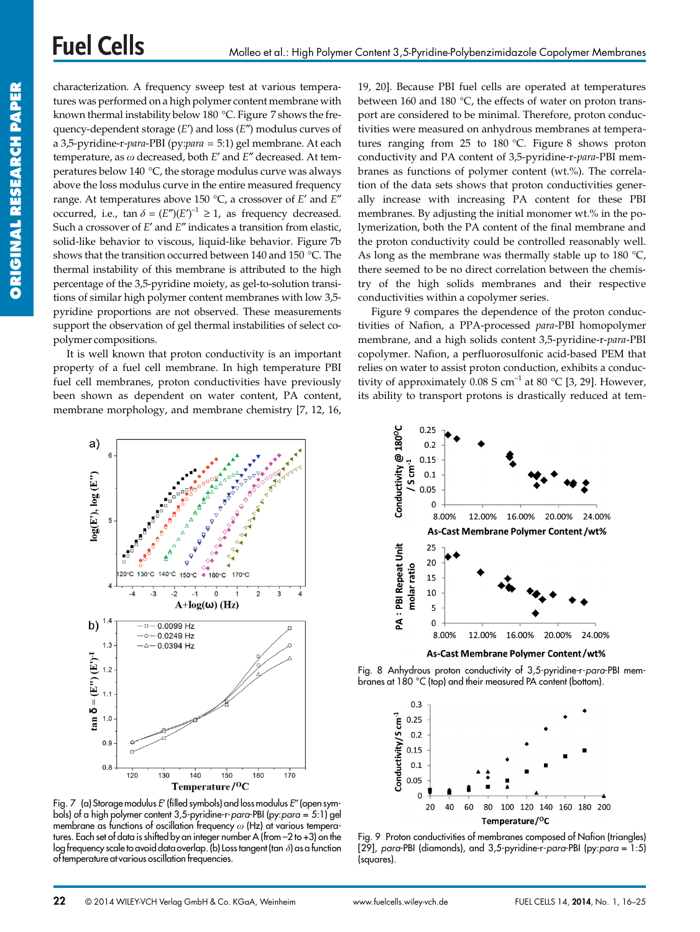characterization. A frequency sweep test at various temperatures was performed on a high polymer content membrane with known thermal instability below 180 °C. Figure 7 shows the frequency-dependent storage (*E*′) and loss (*E*″) modulus curves of a 3,5-pyridine-r-*para*-PBI (py:*para* = 5:1) gel membrane. At each temperature, as *x* decreased, both *E*′ and *E*″ decreased. At temperatures below 140 °C, the storage modulus curve was always above the loss modulus curve in the entire measured frequency range. At temperatures above 150 °C, a crossover of *E*′ and *E*″ occurred, i.e.,  $\tan \delta = (E'')(E')^{-1} \geq 1$ , as frequency decreased. Such a crossover of *E*′ and *E*″ indicates a transition from elastic, solid-like behavior to viscous, liquid-like behavior. Figure 7b shows that the transition occurred between 140 and 150 °C. The thermal instability of this membrane is attributed to the high percentage of the 3,5-pyridine moiety, as gel-to-solution transitions of similar high polymer content membranes with low 3,5 pyridine proportions are not observed. These measurements support the observation of gel thermal instabilities of select copolymer compositions.

It is well known that proton conductivity is an important property of a fuel cell membrane. In high temperature PBI fuel cell membranes, proton conductivities have previously been shown as dependent on water content, PA content, membrane morphology, and membrane chemistry [7, 12, 16,

19, 20]. Because PBI fuel cells are operated at temperatures between 160 and 180 °C, the effects of water on proton transport are considered to be minimal. Therefore, proton conductivities were measured on anhydrous membranes at temperatures ranging from 25 to 180 °C. Figure 8 shows proton conductivity and PA content of 3,5-pyridine-r-*para*-PBI membranes as functions of polymer content (wt.%). The correlation of the data sets shows that proton conductivities generally increase with increasing PA content for these PBI membranes. By adjusting the initial monomer wt.% in the polymerization, both the PA content of the final membrane and the proton conductivity could be controlled reasonably well. As long as the membrane was thermally stable up to  $180 °C$ , there seemed to be no direct correlation between the chemistry of the high solids membranes and their respective conductivities within a copolymer series.

Figure 9 compares the dependence of the proton conductivities of Nafion, a PPA-processed *para*-PBI homopolymer membrane, and a high solids content 3,5-pyridine-r-*para*-PBI copolymer. Nafion, a perfluorosulfonic acid-based PEM that relies on water to assist proton conduction, exhibits a conductivity of approximately 0.08 S cm<sup>-1</sup> at 80 °C [3, 29]. However, its ability to transport protons is drastically reduced at tem-



Fig. 7 (a) Storage modulus *E*′ (filled symbols) and loss modulus *E*″ (open symbols) of a high polymer content 3,5-pyridine-r-*para*-PBI (py:*para* = 5:1) gel membrane as functions of oscillation frequency  $\omega$  (Hz) at various temperatures. Each set of data is shifted by an integer number A (from –2 to +3) on the log frequency scale to avoid data overlap.(b) Loss tangent (tan *d*) as a function of temperature at various oscillation frequencies.



Fig. 8 Anhydrous proton conductivity of 3,5-pyridine-r-*para*-PBI membranes at 180 °C (top) and their measured PA content (bottom).



Fig. 9 Proton conductivities of membranes composed of Nafion (triangles) [29], *para*-PBI (diamonds), and 3,5-pyridine-r-*para*-PBI (py:*para* = 1:5) (squares).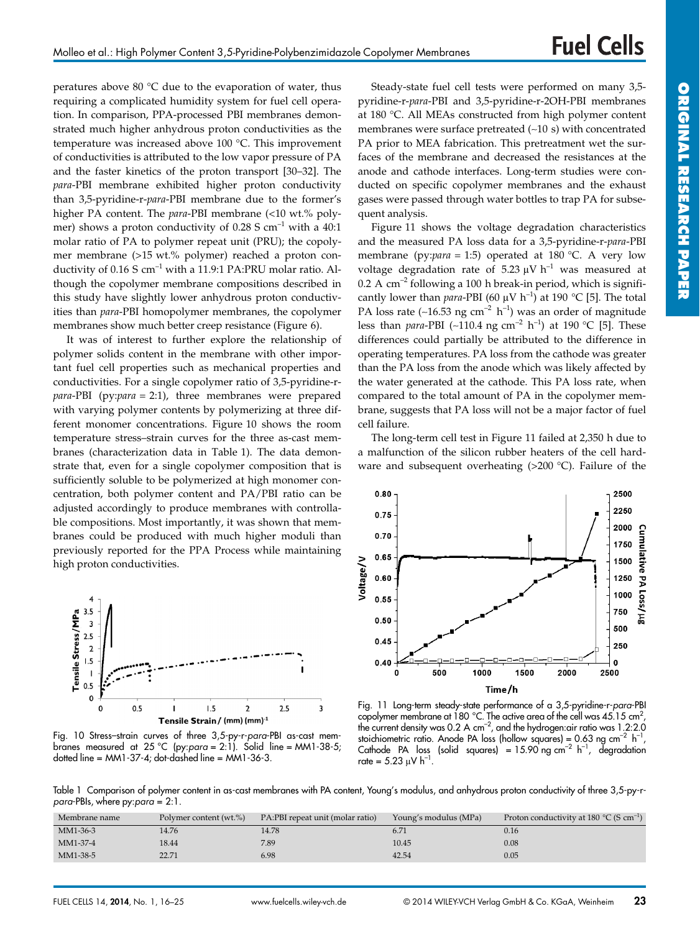peratures above 80 °C due to the evaporation of water, thus requiring a complicated humidity system for fuel cell operation. In comparison, PPA-processed PBI membranes demonstrated much higher anhydrous proton conductivities as the temperature was increased above 100 °C. This improvement of conductivities is attributed to the low vapor pressure of PA and the faster kinetics of the proton transport [30–32]. The *para*-PBI membrane exhibited higher proton conductivity than 3,5-pyridine-r-*para*-PBI membrane due to the former's higher PA content. The *para*-PBI membrane (<10 wt.% polymer) shows a proton conductivity of 0.28 S cm<sup>-1</sup> with a 40:1 molar ratio of PA to polymer repeat unit (PRU); the copolymer membrane (>15 wt.% polymer) reached a proton conductivity of  $0.16$  S cm<sup>-1</sup> with a 11.9:1 PA:PRU molar ratio. Although the copolymer membrane compositions described in this study have slightly lower anhydrous proton conductivities than *para*-PBI homopolymer membranes, the copolymer membranes show much better creep resistance (Figure 6).

It was of interest to further explore the relationship of polymer solids content in the membrane with other important fuel cell properties such as mechanical properties and conductivities. For a single copolymer ratio of 3,5-pyridine-r*para*-PBI (py:*para* = 2:1), three membranes were prepared with varying polymer contents by polymerizing at three different monomer concentrations. Figure 10 shows the room temperature stress–strain curves for the three as-cast membranes (characterization data in Table 1). The data demonstrate that, even for a single copolymer composition that is sufficiently soluble to be polymerized at high monomer concentration, both polymer content and PA/PBI ratio can be adjusted accordingly to produce membranes with controllable compositions. Most importantly, it was shown that membranes could be produced with much higher moduli than previously reported for the PPA Process while maintaining high proton conductivities.



Fig. 10 Stress–strain curves of three 3,5-py-r-*para*-PBI as-cast membranes measured at 25 °C (py:*para* = 2:1). Solid line = MM1-38-5; dotted line = MM1-37-4; dot-dashed line = MM1-36-3.

Steady-state fuel cell tests were performed on many 3,5 pyridine-r-*para*-PBI and 3,5-pyridine-r-2OH-PBI membranes at 180 °C. All MEAs constructed from high polymer content membranes were surface pretreated (∼10 s) with concentrated PA prior to MEA fabrication. This pretreatment wet the surfaces of the membrane and decreased the resistances at the anode and cathode interfaces. Long-term studies were conducted on specific copolymer membranes and the exhaust gases were passed through water bottles to trap PA for subsequent analysis.

Figure 11 shows the voltage degradation characteristics and the measured PA loss data for a 3,5-pyridine-r-*para*-PBI membrane (py:*para* = 1:5) operated at 180 °C. A very low voltage degradation rate of 5.23  $\mu$ V h<sup>-1</sup> was measured at  $0.2$  A cm<sup>-2</sup> following a 100 h break-in period, which is significantly lower than *para*-PBI (60  $\mu$ V h<sup>-1</sup>) at 190 °C [5]. The total PA loss rate (~16.53 ng cm<sup>-2</sup> h<sup>-1</sup>) was an order of magnitude less than *para*-PBI (~110.4 ng cm<sup>-2</sup> h<sup>-1</sup>) at 190 °C [5]. These differences could partially be attributed to the difference in operating temperatures. PA loss from the cathode was greater than the PA loss from the anode which was likely affected by the water generated at the cathode. This PA loss rate, when compared to the total amount of PA in the copolymer membrane, suggests that PA loss will not be a major factor of fuel cell failure.

The long-term cell test in Figure 11 failed at 2,350 h due to a malfunction of the silicon rubber heaters of the cell hardware and subsequent overheating (>200 °C). Failure of the



Fig. 11 Long-term steady-state performance of a 3,5-pyridine-r-*para*-PBI copolymer membrane at 180 °C. The active area of the cell was 45.15 cm<sup>2</sup>, the current density was 0.2 A cm<sup>-2</sup>, and the hydrogen:air ratio was 1.2:2.0 stoichiometric ratio. Anode PA loss (hollow squares) = 0.63 ng cm<sup>-2</sup> h<sup>-1</sup>, Cathode PA loss (solid squares) =  $15.90$  ng cm<sup>-2</sup> h<sup>-1</sup>, degradation rate =  $5.23 \mu V h^{-1}$ 

Table 1 Comparison of polymer content in as-cast membranes with PA content, Young's modulus, and anhydrous proton conductivity of three 3,5-py-r*para*-PBIs, where py:*para* = 2:1.

| Membrane name<br>Polymer content (wt.%) | PA:PBI repeat unit (molar ratio) | Young's modulus (MPa) | Proton conductivity at 180 $^{\circ}$ C (S cm <sup>-1</sup> ) |
|-----------------------------------------|----------------------------------|-----------------------|---------------------------------------------------------------|
| MM1-36-3<br>14.76                       | 14.78                            | 6.71                  | 0.16                                                          |
| MM1-37-4<br>18.44                       | 7.89                             | 10.45                 | 0.08                                                          |
| 22.71<br>MM1-38-5                       | 6.98                             | 42.54                 | 0.05                                                          |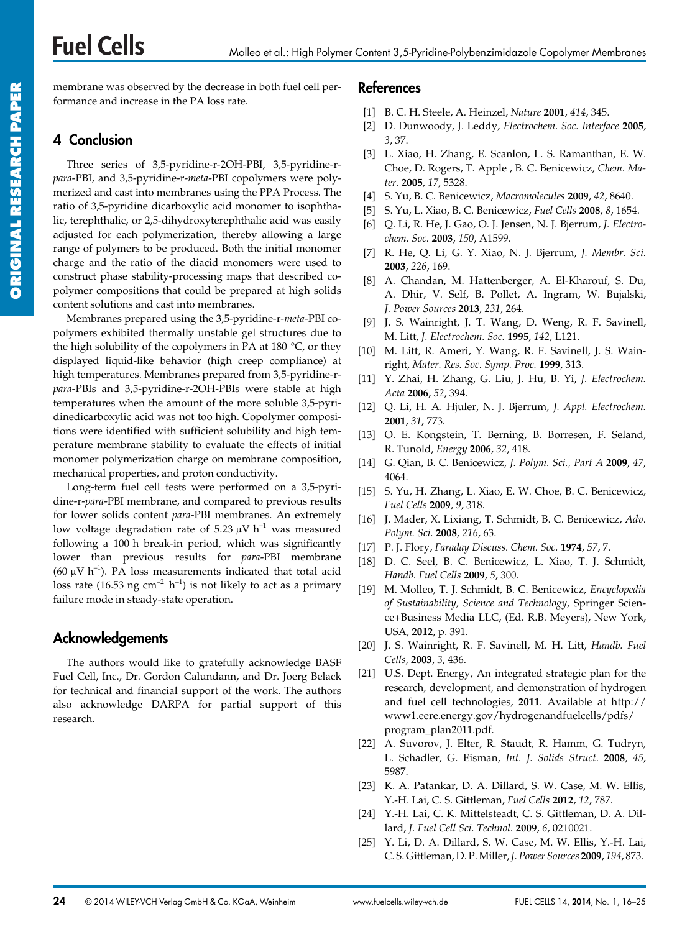#### Molleo et al.: High Polymer Content 3,5-Pyridine-Polybenzimidazole Copolymer Membranes

membrane was observed by the decrease in both fuel cell performance and increase in the PA loss rate.

# **4 Conclusion**

**Fuel Cells** 

Three series of 3,5-pyridine-r-2OH-PBI, 3,5-pyridine-r*para*-PBI, and 3,5-pyridine-r-*meta*-PBI copolymers were polymerized and cast into membranes using the PPA Process. The ratio of 3,5-pyridine dicarboxylic acid monomer to isophthalic, terephthalic, or 2,5-dihydroxyterephthalic acid was easily adjusted for each polymerization, thereby allowing a large range of polymers to be produced. Both the initial monomer charge and the ratio of the diacid monomers were used to construct phase stability-processing maps that described copolymer compositions that could be prepared at high solids content solutions and cast into membranes.

Membranes prepared using the 3,5-pyridine-r-*meta*-PBI copolymers exhibited thermally unstable gel structures due to the high solubility of the copolymers in PA at 180 $\degree$ C, or they displayed liquid-like behavior (high creep compliance) at high temperatures. Membranes prepared from 3,5-pyridine-r*para*-PBIs and 3,5-pyridine-r-2OH-PBIs were stable at high temperatures when the amount of the more soluble 3,5-pyridinedicarboxylic acid was not too high. Copolymer compositions were identified with sufficient solubility and high temperature membrane stability to evaluate the effects of initial monomer polymerization charge on membrane composition, mechanical properties, and proton conductivity.

Long-term fuel cell tests were performed on a 3,5-pyridine-r-*para*-PBI membrane, and compared to previous results for lower solids content *para*-PBI membranes. An extremely low voltage degradation rate of 5.23  $\mu$ V h<sup>-1</sup> was measured following a 100 h break-in period, which was significantly lower than previous results for *para*-PBI membrane (60  $\mu$ V h<sup>-1</sup>). PA loss measurements indicated that total acid loss rate (16.53 ng cm<sup>-2</sup> h<sup>-1</sup>) is not likely to act as a primary failure mode in steady-state operation.

## **Acknowledgements**

The authors would like to gratefully acknowledge BASF Fuel Cell, Inc., Dr. Gordon Calundann, and Dr. Joerg Belack for technical and financial support of the work. The authors also acknowledge DARPA for partial support of this research.

### **References**

- [1] B. C. H. Steele, A. Heinzel, *Nature* **2001**, *414*, 345.
- [2] D. Dunwoody, J. Leddy, *Electrochem. Soc. Interface* **2005**, *3*, 37.
- [3] L. Xiao, H. Zhang, E. Scanlon, L. S. Ramanthan, E. W. Choe, D. Rogers, T. Apple , B. C. Benicewicz, *Chem. Mater.* **2005**, *17*, 5328.
- [4] S. Yu, B. C. Benicewicz, *Macromolecules* **2009**, *42*, 8640.
- [5] S. Yu, L. Xiao, B. C. Benicewicz, *Fuel Cells* **2008**, *8*, 1654.
- [6] Q. Li, R. He, J. Gao, O. J. Jensen, N. J. Bjerrum, *J. Electrochem. Soc.* **2003**, *150*, A1599.
- [7] R. He, Q. Li, G. Y. Xiao, N. J. Bjerrum, *J. Membr. Sci.* **2003**, *226*, 169.
- [8] A. Chandan, M. Hattenberger, A. El-Kharouf, S. Du, A. Dhir, V. Self, B. Pollet, A. Ingram, W. Bujalski, *J. Power Sources* **2013**, *231*, 264.
- [9] J. S. Wainright, J. T. Wang, D. Weng, R. F. Savinell, M. Litt, *J. Electrochem. Soc.* **1995**, *142*, L121.
- [10] M. Litt, R. Ameri, Y. Wang, R. F. Savinell, J. S. Wainright, *Mater. Res. Soc. Symp. Proc.* **1999**, 313.
- [11] Y. Zhai, H. Zhang, G. Liu, J. Hu, B. Yi, *J. Electrochem. Acta* **2006**, *52*, 394.
- [12] Q. Li, H. A. Hjuler, N. J. Bjerrum, *J. Appl. Electrochem.* **2001**, *31*, 773.
- [13] O. E. Kongstein, T. Berning, B. Borresen, F. Seland, R. Tunold, *Energy* **2006**, *32*, 418.
- [14] G. Qian, B. C. Benicewicz, *J. Polym. Sci., Part A* **2009**, *47*, 4064.
- [15] S. Yu, H. Zhang, L. Xiao, E. W. Choe, B. C. Benicewicz, *Fuel Cells* **2009**, *9*, 318.
- [16] J. Mader, X. Lixiang, T. Schmidt, B. C. Benicewicz, *Adv. Polym. Sci.* **2008**, *216*, 63.
- [17] P. J. Flory, *Faraday Discuss. Chem. Soc.* **1974**, *57*, 7.
- [18] D. C. Seel, B. C. Benicewicz, L. Xiao, T. J. Schmidt, *Handb. Fuel Cells* **2009**, *5*, 300.
- [19] M. Molleo, T. J. Schmidt, B. C. Benicewicz, *Encyclopedia of Sustainability, Science and Technology*, Springer Science+Business Media LLC, (Ed. R.B. Meyers), New York, USA, **2012**, p. 391.
- [20] J. S. Wainright, R. F. Savinell, M. H. Litt, *Handb. Fuel Cells*, **2003**, *3*, 436.
- [21] U.S. Dept. Energy, An integrated strategic plan for the research, development, and demonstration of hydrogen and fuel cell technologies, **2011**. Available at http:// www1.eere.energy.gov/hydrogenandfuelcells/pdfs/ program\_plan2011.pdf.
- [22] A. Suvorov, J. Elter, R. Staudt, R. Hamm, G. Tudryn, L. Schadler, G. Eisman, *Int. J. Solids Struct*. **2008**, *45*, 5987.
- [23] K. A. Patankar, D. A. Dillard, S. W. Case, M. W. Ellis, Y.-H. Lai, C. S. Gittleman, *Fuel Cells* **2012**, *12*, 787.
- [24] Y.-H. Lai, C. K. Mittelsteadt, C. S. Gittleman, D. A. Dillard, *J. Fuel Cell Sci. Technol.* **2009**, *6*, 0210021.
- [25] Y. Li, D. A. Dillard, S. W. Case, M. W. Ellis, Y.-H. Lai, C. S. Gittleman, D. P.Miller,*J. Power Sources* **2009**, *194*, 873.